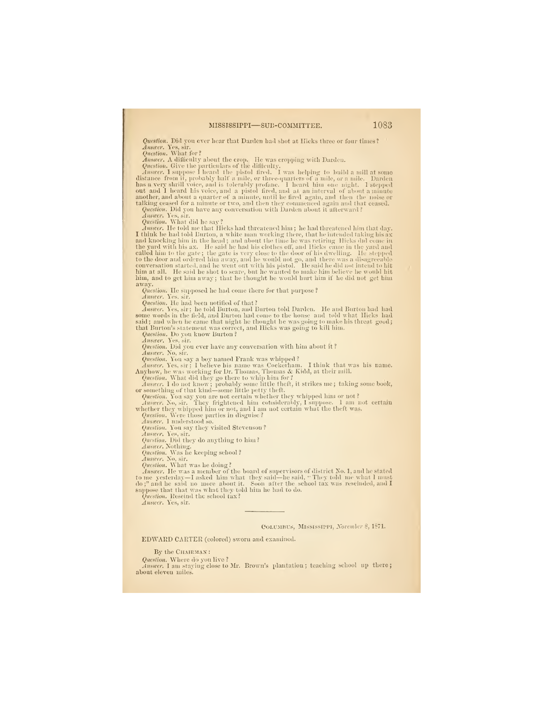#### MISSISSIPPI—SUB-COMMITTEE. 1083

Question. Did you ever hear that Darden had shot at Hicks three or four times?<br>Answer. Yes, sir.<br>Question, What for?<br>Answer, A difficulty about the crop. He was cropping with Darden.<br>Question. Give the particulars of the

Question. What did he say?<br> *Awarer*. He told me that Hieks had threatened him; he had threatened him that day.<br> *Awarer*. He told me that Hieks had threatened him; he had threatened taking his ax<br>
and knocking him in the

Question. He supposed he had come there for that purpose ?

Answer, Yes, sir. Question. He had been notified of that?

Answer, Yes, sir ; he told Burton, and Burton told Darden. He and Burton had had also<br>some words in the field, and Burton had come to the house and told what Hicks had<br>said ; and when he came that night he thought he was g

Question. Do you kuow Burton ?

Answer. Yes, sir. Question. Did you ever have any conversation with him about it ?

*Answer*. No, sir,<br> *Question.* For sir, 1 believe his name was Cockerham. I think that was his name.<br> *Answer*. Yes, sir; 1 believe his name was Cockerham. I think that was his name.<br> *Anyhow,* he was working for Dr. Tho

Question. You say they visited Stevenson?<br>
Answer, Yes, sir.<br>
Question. Did they do anything to him?<br>  $\frac{0}{2}$ <br>  $\frac{0}{2}$ <br>  $\frac{1}{2}$ <br>  $\frac{1}{2}$ <br>  $\frac{1}{2}$ <br>  $\frac{1}{2}$ <br>  $\frac{1}{2}$ <br>  $\frac{1}{2}$ <br>  $\frac{1}{2}$ <br>  $\frac{1}{2}$ <br>  $\frac{1}{2}$ 

Question. Rescind the school tax? Answer. Yes, sir.

#### (Columbus, Mississippi, Novemher 8, 1871.

EDW^ARD CARTER (colored) sworn and examined.

By the CHARMAN :

Question. Where do you live ?

Answer. I am staying close to Mr. Brown's plantation; teaching school up there; about eleven miles.

;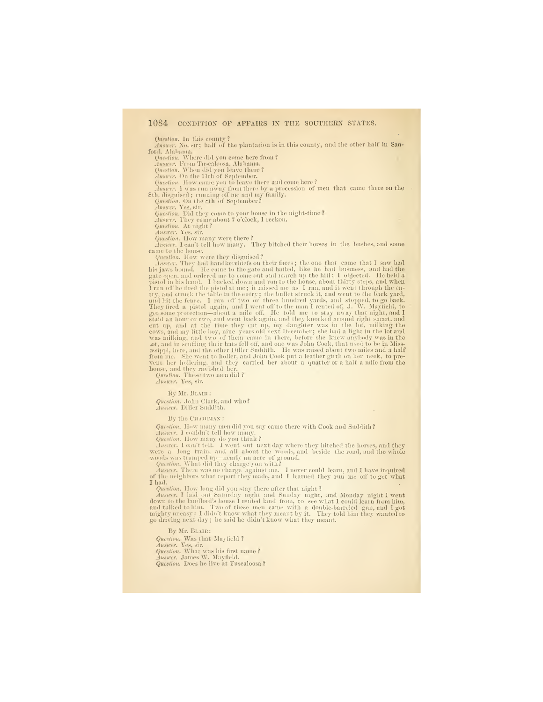# 1084 CONDITION OF AFFAIRS IN THE SOUTHERN STATES.

Question. In this county ?<br> *Jawaer*, No, sir; half of the plantation is in this county, and the other half in San-<br>ford, Alabama.<br>
Question. Where did you come here from ?

Auswer, From Tuscaloosa, Alabama.<br>
Question, When did you leave there?<br>
Auswer. On the 11th of September.<br>
Question. How came you to leave there and come here?<br>
Question. How came you to leave there and come here?<br>
Answer

Question. On the sth of September?

Auswer. Yes, sir.<br>Question. Did they come to your house in the night-time?<br>Answer. They came about 7 o'clock, I reckon.<br>Question. At night?<br>Answer. Yes, sir.

Question. How many were there ?<br>Answer. I can't tell how many. They hitched their horses in the bushes, and some<br>came to the house.

Question. How were they disguised?<br>
<br>
Ansiere. They had hand<br>kerelics in their faces; the one that came that I saw had his jaws bound. He came to the gate and hailed, like he had business, and had the<br>
gate open, and orde

By Mr. Blaik : Question. John Clark, and who? Answer. Diller Suddith.

By the CHAIRMAN:

Question. How many men did you say came there with Cook and Suddith?

Answer. <sup>I</sup> couldn't tell how many. Question. How numy do you think ? Answer. <sup>I</sup> can't tell. <sup>I</sup> went out next day where they hitched the horses, and they were a long train, and all about the woods, and beside the road, and the whole woods was trami)ed up—nearly an acre of ground. QuistioH. What did they charge yon with? Answer. There was no charge against me. <sup>I</sup> never could learn, and <sup>I</sup> have inquired of the neighbors what report they made, and <sup>I</sup> learned they run me oti' to get what

I had.

Question. How long did yon stay there after that night ?

Answer. I laid out Saturday night and Sunday night, and Monday night I went<br>down to the landlord's house I rented land from, to see what I could learn from him,<br>and talked to him. Two of these men came with a double-barrel

By Mr. Blair :

Question. Was that Mayfield ?

Answer. Yes, sir. Question. What was his first name ? Answer. James W. Mayfield.

Question. Does he live at Tuscaloosa ?